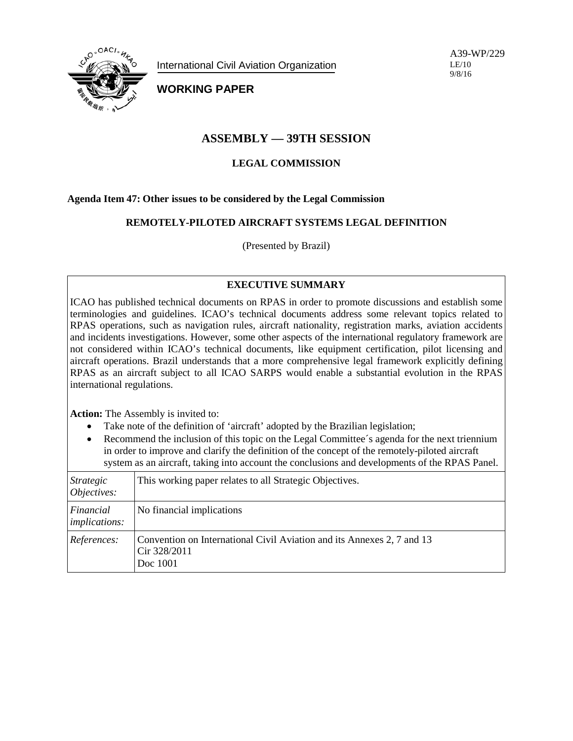

International Civil Aviation Organization

A39-WP/229 LE/10 9/8/16

**WORKING PAPER**

# **ASSEMBLY — 39TH SESSION**

## **LEGAL COMMISSION**

## **Agenda Item 47: Other issues to be considered by the Legal Commission**

## **REMOTELY-PILOTED AIRCRAFT SYSTEMS LEGAL DEFINITION**

(Presented by Brazil)

## **EXECUTIVE SUMMARY**

ICAO has published technical documents on RPAS in order to promote discussions and establish some terminologies and guidelines. ICAO's technical documents address some relevant topics related to RPAS operations, such as navigation rules, aircraft nationality, registration marks, aviation accidents and incidents investigations. However, some other aspects of the international regulatory framework are not considered within ICAO's technical documents, like equipment certification, pilot licensing and aircraft operations. Brazil understands that a more comprehensive legal framework explicitly defining RPAS as an aircraft subject to all ICAO SARPS would enable a substantial evolution in the RPAS international regulations.

**Action:** The Assembly is invited to:

- Take note of the definition of 'aircraft' adopted by the Brazilian legislation;
- Recommend the inclusion of this topic on the Legal Committee's agenda for the next triennium in order to improve and clarify the definition of the concept of the remotely-piloted aircraft system as an aircraft, taking into account the conclusions and developments of the RPAS Panel.

| Strategic<br>Objectives:          | This working paper relates to all Strategic Objectives.                                            |
|-----------------------------------|----------------------------------------------------------------------------------------------------|
| Financial<br><i>implications:</i> | No financial implications                                                                          |
| References:                       | Convention on International Civil Aviation and its Annexes 2, 7 and 13<br>Cir 328/2011<br>Doc 1001 |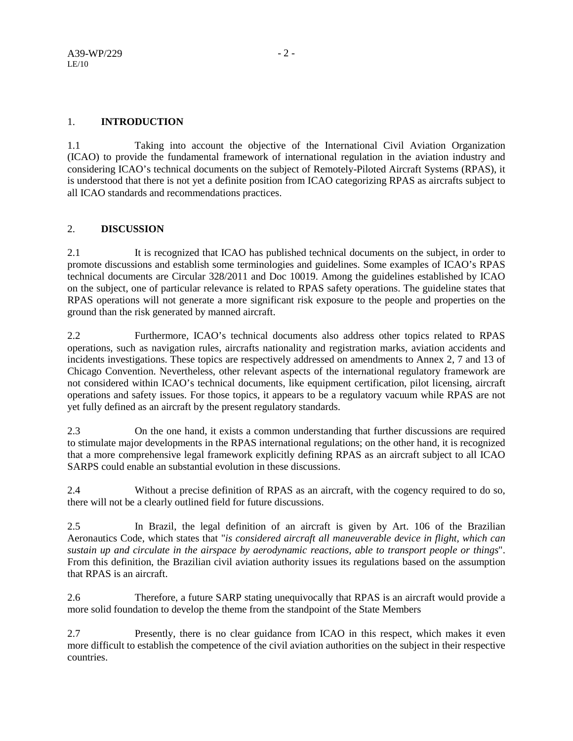## 1. **INTRODUCTION**

1.1 Taking into account the objective of the International Civil Aviation Organization (ICAO) to provide the fundamental framework of international regulation in the aviation industry and considering ICAO's technical documents on the subject of Remotely-Piloted Aircraft Systems (RPAS), it is understood that there is not yet a definite position from ICAO categorizing RPAS as aircrafts subject to all ICAO standards and recommendations practices.

## 2. **DISCUSSION**

2.1 It is recognized that ICAO has published technical documents on the subject, in order to promote discussions and establish some terminologies and guidelines. Some examples of ICAO's RPAS technical documents are Circular 328/2011 and Doc 10019. Among the guidelines established by ICAO on the subject, one of particular relevance is related to RPAS safety operations. The guideline states that RPAS operations will not generate a more significant risk exposure to the people and properties on the ground than the risk generated by manned aircraft.

2.2 Furthermore, ICAO's technical documents also address other topics related to RPAS operations, such as navigation rules, aircrafts nationality and registration marks, aviation accidents and incidents investigations. These topics are respectively addressed on amendments to Annex 2, 7 and 13 of Chicago Convention. Nevertheless, other relevant aspects of the international regulatory framework are not considered within ICAO's technical documents, like equipment certification, pilot licensing, aircraft operations and safety issues. For those topics, it appears to be a regulatory vacuum while RPAS are not yet fully defined as an aircraft by the present regulatory standards.

2.3 On the one hand, it exists a common understanding that further discussions are required to stimulate major developments in the RPAS international regulations; on the other hand, it is recognized that a more comprehensive legal framework explicitly defining RPAS as an aircraft subject to all ICAO SARPS could enable an substantial evolution in these discussions.

2.4 Without a precise definition of RPAS as an aircraft, with the cogency required to do so, there will not be a clearly outlined field for future discussions.

2.5 In Brazil, the legal definition of an aircraft is given by Art. 106 of the Brazilian Aeronautics Code, which states that "*is considered aircraft all maneuverable device in flight, which can sustain up and circulate in the airspace by aerodynamic reactions, able to transport people or things*". From this definition, the Brazilian civil aviation authority issues its regulations based on the assumption that RPAS is an aircraft.

2.6 Therefore, a future SARP stating unequivocally that RPAS is an aircraft would provide a more solid foundation to develop the theme from the standpoint of the State Members

2.7 Presently, there is no clear guidance from ICAO in this respect, which makes it even more difficult to establish the competence of the civil aviation authorities on the subject in their respective countries.